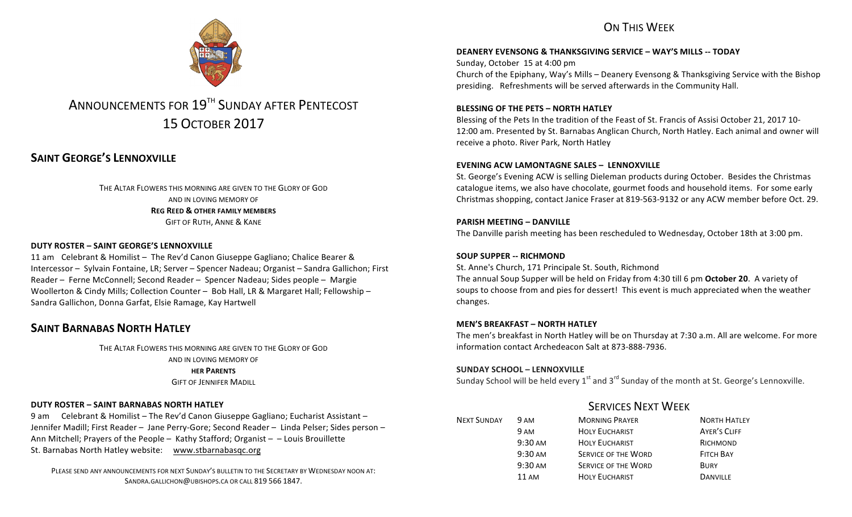

# ANNOUNCEMENTS FOR 19<sup>TH</sup> SUNDAY AFTER PENTECOST 15 OCTOBER 2017

# **SAINT GEORGE'S LENNOXVILLE**

THE ALTAR FLOWERS THIS MORNING ARE GIVEN TO THE GLORY OF GOD AND IN LOVING MEMORY OF **REG REED & OTHER FAMILY MEMBERS GIFT OF RUTH, ANNE & KANE** 

# **DUTY ROSTER – SAINT GEORGE'S LENNOXVILLE**

11 am Celebrant & Homilist – The Rev'd Canon Giuseppe Gagliano; Chalice Bearer & Intercessor – Sylvain Fontaine, LR; Server – Spencer Nadeau; Organist – Sandra Gallichon; First Reader – Ferne McConnell; Second Reader – Spencer Nadeau; Sides people – Margie Woollerton & Cindy Mills; Collection Counter – Bob Hall, LR & Margaret Hall; Fellowship – Sandra Gallichon, Donna Garfat, Elsie Ramage, Kay Hartwell

# **SAINT BARNABAS NORTH HATLEY**

THE ALTAR FLOWERS THIS MORNING ARE GIVEN TO THE GLORY OF GOD AND IN LOVING MEMORY OF **HER PARENTS**

**GIFT OF JENNIFER MADILL** 

# **DUTY ROSTER – SAINT BARNABAS NORTH HATLEY**

9 am Celebrant & Homilist – The Rev'd Canon Giuseppe Gagliano; Eucharist Assistant – Jennifer Madill; First Reader – Jane Perry-Gore; Second Reader – Linda Pelser; Sides person – Ann Mitchell; Prayers of the People  $-$  Kathy Stafford; Organist  $-$  – Louis Brouillette St. Barnabas North Hatley website: www.stbarnabasqc.org

PLEASE SEND ANY ANNOUNCEMENTS FOR NEXT SUNDAY'S BULLETIN TO THE SECRETARY BY WEDNESDAY NOON AT: SANDRA.GALLICHON@UBISHOPS.CA OR CALL 819 566 1847.

# ON THIS WFFK

### **DEANERY EVENSONG & THANKSGIVING SERVICE – WAY'S MILLS -- TODAY**

Sunday, October 15 at 4:00 pm Church of the Epiphany, Way's Mills - Deanery Evensong & Thanksgiving Service with the Bishop presiding. Refreshments will be served afterwards in the Community Hall.

## **BLESSING OF THE PETS – NORTH HATLEY**

Blessing of the Pets In the tradition of the Feast of St. Francis of Assisi October 21, 2017 10-12:00 am. Presented by St. Barnabas Anglican Church, North Hatley. Each animal and owner will receive a photo. River Park, North Hatley

## **EVENING ACW LAMONTAGNE SALES - LENNOXVILLE**

St. George's Evening ACW is selling Dieleman products during October. Besides the Christmas catalogue items, we also have chocolate, gourmet foods and household items. For some early Christmas shopping, contact Janice Fraser at 819-563-9132 or any ACW member before Oct. 29.

## **PARISH MEETING – DANVILLE**

The Danville parish meeting has been rescheduled to Wednesday, October 18th at 3:00 pm.

## **SOUP SUPPER -- RICHMOND**

St. Anne's Church, 171 Principale St. South, Richmond

The annual Soup Supper will be held on Friday from 4:30 till 6 pm October 20. A variety of soups to choose from and pies for dessert! This event is much appreciated when the weather changes.

# **MEN'S BREAKFAST – NORTH HATLEY**

The men's breakfast in North Hatley will be on Thursday at 7:30 a.m. All are welcome. For more information contact Archedeacon Salt at 873-888-7936.

### **SUNDAY SCHOOL – LENNOXVILLE**

Sunday School will be held every  $1^{st}$  and  $3^{rd}$  Sunday of the month at St. George's Lennoxville.

# **SERVICES NEXT WEEK**

| NEXT SUNDAY | 9 AM              | <b>MORNING PRAYER</b>      | <b>NORTH HATLEY</b> |
|-------------|-------------------|----------------------------|---------------------|
|             | 9 AM              | <b>HOLY EUCHARIST</b>      | AYER'S CLIFF        |
|             | $9:30 \text{ AM}$ | <b>HOLY EUCHARIST</b>      | RICHMOND            |
|             | $9:30 \text{ AM}$ | <b>SERVICE OF THE WORD</b> | <b>FITCH BAY</b>    |
|             | $9:30 \text{ AM}$ | <b>SERVICE OF THE WORD</b> | <b>BURY</b>         |
|             | $11 \text{ AM}$   | <b>HOLY EUCHARIST</b>      | <b>DANVILLE</b>     |
|             |                   |                            |                     |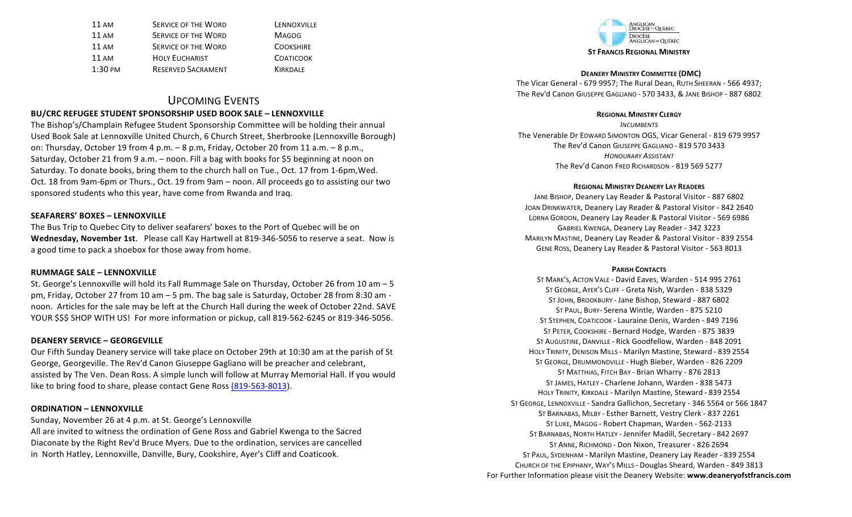| $11 \text{ AM}$    | <b>SERVICE OF THE WORD</b> | LENNOXVILLE      |
|--------------------|----------------------------|------------------|
| 11 AM              | <b>SERVICE OF THE WORD</b> | <b>MAGOG</b>     |
| 11 AM              | <b>SERVICE OF THE WORD</b> | <b>COOKSHIRE</b> |
| $11 \text{ AM}$    | <b>HOLY EUCHARIST</b>      | <b>COATICOOK</b> |
| $1:30 \text{ }$ PM | <b>RESERVED SACRAMENT</b>  | <b>KIRKDALE</b>  |

# UPCOMING EVENTS

#### **BU/CRC REFUGEE STUDENT SPONSORSHIP USED BOOK SALE – LENNOXVILLE**

The Bishop's/Champlain Refugee Student Sponsorship Committee will be holding their annual Used Book Sale at Lennoxville United Church, 6 Church Street, Sherbrooke (Lennoxville Borough) on: Thursday, October 19 from 4 p.m.  $-8$  p.m, Friday, October 20 from 11 a.m.  $-8$  p.m., Saturday, October 21 from 9 a.m. – noon. Fill a bag with books for \$5 beginning at noon on Saturday. To donate books, bring them to the church hall on Tue., Oct. 17 from 1-6pm, Wed. Oct. 18 from 9am-6pm or Thurs., Oct. 19 from 9am – noon. All proceeds go to assisting our two sponsored students who this year, have come from Rwanda and Iraq.

#### **SEAFARERS' BOXES – LENNOXVILLE**

The Bus Trip to Quebec City to deliver seafarers' boxes to the Port of Quebec will be on **Wednesday, November 1st.** Please call Kay Hartwell at 819-346-5056 to reserve a seat. Now is a good time to pack a shoebox for those away from home.

#### **RUMMAGE SALE – LENNOXVILLE**

St. George's Lennoxville will hold its Fall Rummage Sale on Thursday, October 26 from 10 am  $-5$ pm, Friday, October 27 from 10 am  $-5$  pm. The bag sale is Saturday, October 28 from 8:30 am noon. Articles for the sale may be left at the Church Hall during the week of October 22nd. SAVE YOUR \$\$\$ SHOP WITH US! For more information or pickup, call 819-562-6245 or 819-346-5056.

#### **DEANERY SERVICE – GEORGEVILLE**

Our Fifth Sunday Deanery service will take place on October 29th at 10:30 am at the parish of St George, Georgeville. The Rev'd Canon Giuseppe Gagliano will be preacher and celebrant, assisted by The Ven. Dean Ross. A simple lunch will follow at Murray Memorial Hall. If you would like to bring food to share, please contact Gene Ross (819-563-8013).

#### **ORDINATION – LENNOXVILLE**

Sunday, November 26 at 4 p.m. at St. George's Lennoxville

All are invited to witness the ordination of Gene Ross and Gabriel Kwenga to the Sacred Diaconate by the Right Rev'd Bruce Myers. Due to the ordination, services are cancelled in North Hatley, Lennoxville, Danville, Bury, Cookshire, Ayer's Cliff and Coaticook.



#### **DEANERY MINISTRY COMMITTEE (DMC)** The Vicar General - 679 9957; The Rural Dean, RUTH SHEERAN - 566 4937;

The Rev'd Canon GIUSEPPE GAGLIANO - 570 3433, & JANE BISHOP - 887 6802

#### **REGIONAL MINISTRY CLERGY**

*INCUMBENTS* The Venerable Dr EDWARD SIMONTON OGS, Vicar General - 819 679 9957 The Rev'd Canon GIUSEPPE GAGLIANO - 819 570 3433 *HONOURARY ASSISTANT* The Rev'd Canon Frep Richardson - 819 569 5277

#### **REGIONAL MINISTRY DEANERY LAY READERS**

JANE BISHOP, Deanery Lay Reader & Pastoral Visitor - 887 6802 JOAN DRINKWATER, Deanery Lay Reader & Pastoral Visitor - 842 2640 LORNA GORDON, Deanery Lay Reader & Pastoral Visitor - 569 6986 GABRIEL KWENGA, Deanery Lay Reader - 342 3223 MARILYN MASTINE, Deanery Lay Reader & Pastoral Visitor - 839 2554 GENE ROSS, Deanery Lay Reader & Pastoral Visitor - 563 8013

#### **PARISH CONTACTS**

ST MARK'S, ACTON VALE - David Eaves, Warden - 514 995 2761 ST GEORGE, AYER'S CLIFF - Greta Nish, Warden - 838 5329 ST JOHN, BROOKBURY - Jane Bishop, Steward - 887 6802 ST PAUL, BURY- Serena Wintle, Warden - 875 5210 ST STEPHEN, COATICOOK - Lauraine Denis, Warden - 849 7196 ST PETER, COOKSHIRE - Bernard Hodge, Warden - 875 3839 ST AUGUSTINE, DANVILLE - Rick Goodfellow, Warden - 848 2091 HOLY TRINITY, DENISON MILLS - Marilyn Mastine, Steward - 839 2554 ST GEORGE, DRUMMONDVILLE - Hugh Bieber, Warden - 826 2209 ST MATTHIAS, FITCH BAY - Brian Wharry - 876 2813 ST JAMES, HATLEY - Charlene Johann, Warden - 838 5473 HOLY TRINITY, KIRKDALE - Marilyn Mastine, Steward - 839 2554 ST GEORGE, LENNOXVILLE - Sandra Gallichon, Secretary - 346 5564 or 566 1847 ST BARNABAS, MILBY - Esther Barnett, Vestry Clerk - 837 2261 ST LUKE, MAGOG - Robert Chapman, Warden - 562-2133 ST BARNABAS, NORTH HATLEY - Jennifer Madill, Secretary - 842 2697 ST ANNE, RICHMOND - Don Nixon, Treasurer - 826 2694 ST PAUL, SYDENHAM - Marilyn Mastine, Deanery Lay Reader - 839 2554 CHURCH OF THE EPIPHANY, WAY's MILLS - Douglas Sheard, Warden - 849 3813 For Further Information please visit the Deanery Website: www.deaneryofstfrancis.com